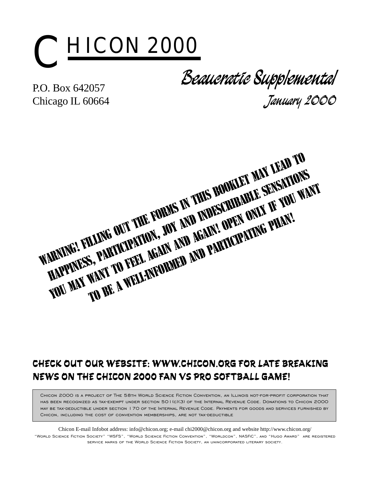

P.O. Box 642057 Chicago IL 60664

**Beaucratic Supplemental January 2000**

WARNING! FILLING OUT THE FORMS IN THIS BOOKLET MAY LEAD TO<br>WARNING! FILLING OUT THE FORMS IN THIS BOOKLET MAY SENSITION?<br>WARNING! FILLING OUT THE FORMS IN THIS BOOK! OPEN ONLY IF YOU W!<br>NAPPINGS, PARTICIPATION, JOY AND RAI HAPPINESS, PARTICIPATION, JOY AND INDESCRIBATIONS you may want to feel again and again participating phan!<br>Handwel filling out the forms in and again! open only if you want<br>to be a want to feel again and participating phan!<br>To be a well-informed and participating phan!

### CHECK OUT OUR WEBSITE: WWW.CHICON.ORG FOR LATE BREAKING NEWS ON THE CHICON 2000 FAN VS PRO SOFTBALL GAME!

Chicon 2000 is a project of The 58th World Science Fiction Convention, an Illinois not-for-profit corporation that has been recognized as tax-exempt under section 501(c)(3) of the Internal Revenue Code. Donations to Chicon 2000 may be tax-deductible under section 170 of the Internal Revenue Code. Payments for goods and services furnished by CHICON, INCLUDING THE COST OF CONVENTION MEMBERSHIPS, ARE NOT TAX-DEDUCTIBLE

Chicon E-mail Infobot address: info@chicon.org; e-mail chi2000@chicon.org and website http://www.chicon.org/ "World Science Fiction Society" "WSFS", "World Science Fiction Convention", "Worldcon", NASFiC", and "Hugo Award" are registered service marks of the World Science Fiction Society, an unincorporated literary society.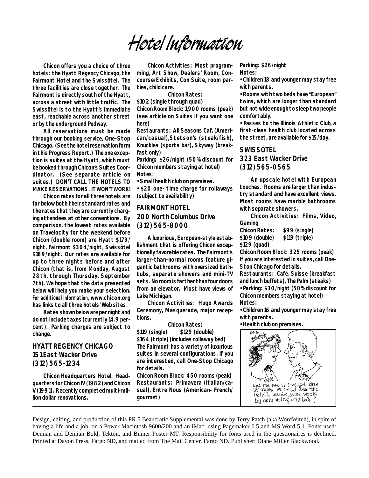# **Hotel Information**

**Chicon offers you a choice of three hotels: the Hyatt Regency Chicago, the Fairmont Hotel and the Swissôtel. The three facilities are close together. The Fairmont is directly south of the Hyatt, across a street with little traffic. The Swissôtel is to the Hyatt's immediate east, reachable across another street or by the underground Pedway.**

**All reservations must be made through our booking service, One-Stop Chicago. (See the hotel reservation form in this Progress Report.) The one exception is suites at the Hyatt, which must be booked through Chicon's Suites Coordinator. (See separate article on suites.) DON'T CALL THE HOTELS TO MAKE RESERVATIONS. IT WON'T WORK!**

**Chicon rates for all three hotels are far below both their standard rates and the rates that they are currently charging attendees at other conventions. By comparison, the lowest rates available on Travelocity for the weekend before Chicon (double room) are Hyatt \$179/ night, Fairmont \$304/night, Swissôtel \$189/night. Our rates are available for up to three nights before and after Chicon (that is, from Monday, August 28th, through Thursday, September 7th). We hope that the data presented below will help you make your selection. For additional information, www.chicon.org has links to all three hotels' Web sites.**

**Rates shown below are per night and do not include taxes (currently 14.9 percent). Parking charges are subject to change.**

#### **HYATT REGENCY CHICAGO 151 East Wacker Drive (312) 565-1234**

**Chicon Headquarters Hotel. Headquarters for Chicon IV (1982) and Chicon V (1991). Recently completed multi-million dollar renovations.**

**Chicon Activities: Most programming, Art Show, Dealers' Room, Concourse/Exhibits, Con Suite, room parties, child care.**

**Chicon Rates:**

**\$102 (single through quad) Chicon Room Block: 1,900 rooms (peak) (see article on Suites if you want one here)**

Restaurants: All Seasons Caf. (Ameri**can/casual),Stetson's (steak/fish), Knuckles (sports bar), Skyway (breakfast only)**

**Parking: \$26/night (50% discount for Chicon members staying at hotel) Notes:**

**• Small health club on premises.**

**• \$20 one- time charge for rollaways (subject to availability)**

#### **FAIRMONT HOTEL 200 North Columbus Drive (312) 565-8000**

**A luxurious, European-style establishment that is offering Chicon exceptionally favorable rates. The Fairmont's larger-than-normal rooms feature gigantic bathrooms with oversized bathtubs, separate showers and mini-TV sets. No room is farther than four doors from an elevator. Most have views of Lake Michigan.**

**Chicon Activities: Hugo Awards Ceremony, Masquerade, major receptions.**

**Chicon Rates: \$119 (single) \$129 (double) \$164 (triple) (includes rollaway bed) The Fairmont has a variety of luxurious suites in several configurations. If you are interested, call One-Stop Chicago for details.**

**Chicon Room Block: 450 rooms (peak) Restaurants: Primavera (Italian/casual), Entre Nous (American- French/ gourmet)**

**Parking: \$26/night Notes:**

**• Children 18 and younger may stay free with parents.**

**• Rooms with two beds have "European" twins, which are longer than standard but not wide enough to sleep two people comfortably.**

**• Passes to the Illinois Athletic Club, a first-class health club located across the street, are available for \$15/day.**

#### **SWISSOTEL**

**323 East Wacker Drive (312) 565-0565**

**An upscale hotel with European touches. Rooms are larger than industry standard and have excellent views. Most rooms have marble bathrooms with separate showers.**

**Chicon Activities: Films, Video, Gaming**

**Chicon Rates: \$99 (single) \$109 (double) \$119 (triple) \$129 (quad)**

**Chicon Room Block: 325 rooms (peak) If you are interested in suites, call One-Stop Chicago for details.**

Restaurants: Café, Suisse (breakfast) **and lunch buffets), The Palm (steaks) • Parking: \$30/night (50% discount for Chicon members staying at hotel) Notes:**

**• Children 16 and younger may stay free with parents.**

**• Health club on premises.**



Design, editing, and production of this PR 5 Beaucratic Supplemental was done by Terry Patch (aka WordWitch), in spite of having a life and a job, on a Power Macintosh 9600/200 and an iMac, using Pagemaker 6.5 and MS Word 5.1. Fonts used: Demian and Demian Bold, Tekton, and Binner Poster MT. Responsibility for fonts used in the questionaires is declined. Printed at Davon Press, Fargo ND, and mailed from The Mail Center, Fargo ND. Publisher: Diane Miller Blackwood.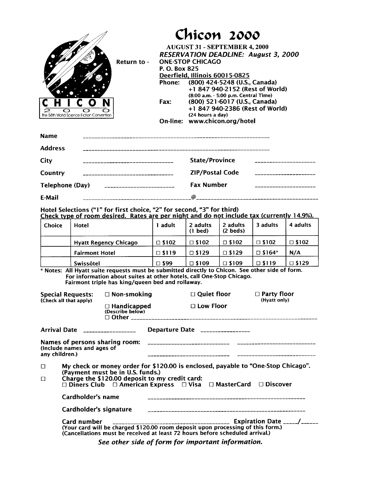|                                           |                                                 | Chicon 2000                                         |  |
|-------------------------------------------|-------------------------------------------------|-----------------------------------------------------|--|
|                                           |                                                 | <b>AUGUST 31 - SEPTEMBER 4, 2000</b>                |  |
|                                           |                                                 | <b>RESERVATION DEADLINE: August 3, 2000</b>         |  |
| Return to -                               |                                                 | <b>ONE-STOP CHICAGO</b>                             |  |
|                                           | P. O. Box 825                                   |                                                     |  |
|                                           |                                                 | Deerfield, Illinois 60015-0825                      |  |
|                                           | Phone:                                          | (800) 424-5248 (U.S., Canada)                       |  |
|                                           |                                                 | +1 847 940-2152 (Rest of World)                     |  |
|                                           |                                                 | (8:00 a.m. - 5:00 p.m. Central Time)                |  |
|                                           | Fax:                                            | (800) 521-6017 (U.S., Canada)                       |  |
| The 58th World Science Fiction Convention |                                                 | +1 847 940-2386 (Rest of World)<br>(24 hours a day) |  |
|                                           |                                                 | On-line: www.chicon.org/hotel                       |  |
|                                           |                                                 |                                                     |  |
| <b>Name</b>                               |                                                 |                                                     |  |
| <b>Address</b>                            |                                                 |                                                     |  |
| City                                      |                                                 | <b>State/Province</b>                               |  |
| Country                                   |                                                 | <b>ZIP/Postal Code</b>                              |  |
|                                           |                                                 |                                                     |  |
| Telephone (Day)                           | <u> 1960 - Andrea Andrews, amerikansk polit</u> | <b>Fax Number</b>                                   |  |
| E-Mail                                    |                                                 |                                                     |  |
|                                           |                                                 |                                                     |  |

 $\overline{\phantom{a}}$  $\overline{\phantom{a}}$ 

### Hotel Selections ("1" for first choice, "2" for second, "3" for third)<br>Check type of room desired. Rates are per night and do not include tax (currently 14.9%).

|        | Check type of footh agsireal nates are per mant and do not melade tax (carrently |                 |                       |                                |                  | $1 - 1.3701$    |
|--------|----------------------------------------------------------------------------------|-----------------|-----------------------|--------------------------------|------------------|-----------------|
| Choice | Hotel                                                                            | adult           | 2 adults<br>$(1$ bed) | 2 adults<br>$(2 \text{ beds})$ | 3 adults         | 4 adults        |
|        | <b>Hyatt Regency Chicago</b>                                                     | $\Box$ \$102    | $\square$ \$102       | $\square$ \$102                | $\square$ \$102  | $\square$ \$102 |
|        | <b>Fairmont Hotel</b>                                                            | $\square$ \$119 | $\square$ \$129       | $\square$ \$129                | $\square$ \$164* | N/A             |
|        | Swissôtel                                                                        | 99\$ ⊡          | $\square$ \$109       | $\Box$ \$109                   | $\square$ \$119  | $\square$ \$129 |

All Hyatt suite requests must be submitted directly to Chicon. See other side of form.<br>For information about suites at other hotels, call One-Stop Chicago.<br>Fairmont triple has king/queen bed and rollaway.

|                  | <b>Special Requests:</b><br>(Check all that apply) | □ Non-smoking<br>$\Box$ Handicapped<br>(Describe below)                            | $\Box$ Quiet floor<br>$\Box$ Low Floor                                                                                                                          | $\Box$ Party floor<br>(Hyatt only)                                               |
|------------------|----------------------------------------------------|------------------------------------------------------------------------------------|-----------------------------------------------------------------------------------------------------------------------------------------------------------------|----------------------------------------------------------------------------------|
|                  | Arrival Date __________________                    |                                                                                    | Departure Date ________________                                                                                                                                 |                                                                                  |
| any children.)   | (include names and ages of                         |                                                                                    |                                                                                                                                                                 |                                                                                  |
| $\Box$<br>$\Box$ |                                                    | (Payment must be in U.S. funds.)<br>Charge the \$120.00 deposit to my credit card: | $\square$ Diners Club $\square$ American Express $\square$ Visa $\square$ MasterCard $\square$ Discover                                                         | My check or money order for \$120.00 is enclosed, payable to "One-Stop Chicago". |
|                  | Cardholder's name                                  |                                                                                    |                                                                                                                                                                 |                                                                                  |
|                  | Cardholder's signature                             |                                                                                    |                                                                                                                                                                 |                                                                                  |
|                  |                                                    |                                                                                    | (Your card will be charged \$120.00 room deposit upon processing of this form.)<br>(Cancellations must be received at least 72 hours before scheduled arrival.) |                                                                                  |

See other side of form for important information.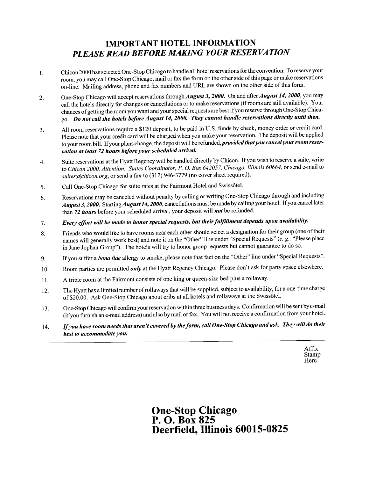### **IMPORTANT HOTEL INFORMATION** PLEASE READ BEFORE MAKING YOUR RESERVATION

- Chicon 2000 has selected One-Stop Chicago to handle all hotel reservations for the convention. To reserve your 1. room, you may call One-Stop Chicago, mail or fax the form on the other side of this page or make reservations on-line. Mailing address, phone and fax numbers and URL are shown on the other side of this form.
- One-Stop Chicago will accept reservations through August 3, 2000. On and after August 14, 2000, you may 2. call the hotels directly for changes or cancellations or to make reservations (if rooms are still available). Your chances of getting the room you want and your special requests are best if you reserve through One-Stop Chicago. Do not call the hotels before August 14, 2000. They cannot handle reservations directly until then.
- All room reservations require a \$120 deposit, to be paid in U.S. funds by check, money order or credit card.  $3.$ Please note that your credit card will be charged when you make your reservation. The deposit will be applied to your room bill. If your plans change, the deposit will be refunded, *provided that you cancel your room reser*vation at least 72 hours before your scheduled arrival.
- Suite reservations at the Hyatt Regency will be handled directly by Chicon. If you wish to reserve a suite, write 4. to Chicon 2000, Attention: Suites Coordinator, P. O. Box 642057, Chicago, Illinois 60664, or send e-mail to suites@chicon.org, or send a fax to (312) 946-3779 (no cover sheet required).
- Call One-Stop Chicago for suite rates at the Fairmont Hotel and Swissôtel. 5.
- Reservations may be canceled without penalty by calling or writing One-Stop Chicago through and including 6. August 3, 2000. Starting August 14, 2000, cancellations must be made by calling your hotel. If you cancel later than 72 hours before your scheduled arrival, your deposit will not be refunded.
- Every effort will be made to honor special requests, but their fulfillment depends upon availability. 7.
- Friends who would like to have rooms near each other should select a designation for their group (one of their 8. names will generally work best) and note it on the "Other" line under "Special Requests" (e. g., "Please place in Jane Jophan Group"). The hotels will try to honor group requests but cannot guarantee to do so.
- If you suffer a bona fide allergy to smoke, please note that fact on the "Other" line under "Special Requests". 9.
- Room parties are permitted *only* at the Hyatt Regency Chicago. Please don't ask for party space elsewhere. 10.
- A triple room at the Fairmont consists of one king or queen-size bed plus a rollaway. 11.
- The Hyatt has a limited number of rollaways that will be supplied, subject to availability, for a one-time charge  $12.$ of \$20.00. Ask One-Stop Chicago about cribs at all hotels and rollaways at the Swissôtel.
- One-Stop Chicago will confirm your reservation within three business days. Confirmation will be sent by e-mail 13. (if you furnish an e-mail address) and also by mail or fax. You will not receive a confirmation from your hotel.
- If you have room needs that aren't covered by the form, call One-Stop Chicago and ask. They will do their 14. best to accommodate you.

Affix Stamp Here

**One-Stop Chicago<br>P. O. Box 825** Deerfield, Illinois 60015-0825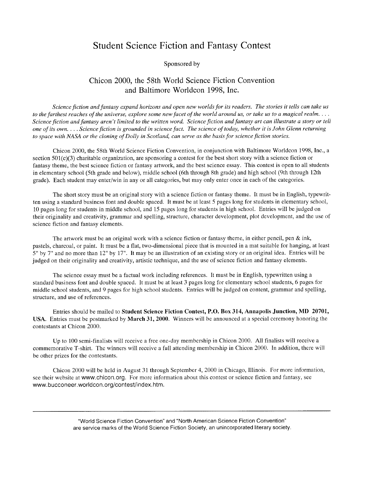### **Student Science Fiction and Fantasy Contest**

#### Sponsored by

#### Chicon 2000, the 58th World Science Fiction Convention and Baltimore Worldcon 1998, Inc.

Science fiction and fantasy expand horizons and open new worlds for its readers. The stories it tells can take us to the farthest reaches of the universe, explore some new facet of the world around us, or take us to a magical realm.... Science fiction and fantasy aren't limited to the written word. Science fiction and fantasy art can illustrate a story or tell one of its own.... Science fiction is grounded in science fact. The science of today, whether it is John Glenn returning to space with NASA or the cloning of Dolly in Scotland, can serve as the basis for science fiction stories.

Chicon 2000, the 58th World Science Fiction Convention, in conjunction with Baltimore Worldcon 1998, Inc., a section  $501(c)(3)$  charitable organization, are sponsoring a contest for the best short story with a science fiction or fantasy theme, the best science fiction or fantasy artwork, and the best science essay. This contest is open to all students in elementary school (5th grade and below), middle school (6th through 8th grade) and high school (9th through 12th grade). Each student may enter/win in any or all categories, but may only enter once in each of the categories.

The short story must be an original story with a science fiction or fantasy theme. It must be in English, typewritten using a standard business font and double spaced. It must be at least 5 pages long for students in elementary school, 10 pages long for students in middle school, and 15 pages long for students in high school. Entries will be judged on their originality and creativity, grammar and spelling, structure, character development, plot development, and the use of science fiction and fantasy elements.

The artwork must be an original work with a science fiction or fantasy theme, in either pencil, pen  $\&$  ink, pastels, charcoal, or paint. It must be a flat, two-dimensional piece that is mounted in a mat suitable for hanging, at least 5" by 7" and no more than 12" by 17". It may be an illustration of an existing story or an original idea. Entries will be judged on their originality and creativity, artistic technique, and the use of science fiction and fantasy elements.

The science essay must be a factual work including references. It must be in English, typewritten using a standard business font and double spaced. It must be at least 3 pages long for elementary school students, 6 pages for middle school students, and 9 pages for high school students. Entries will be judged on content, grammar and spelling, structure, and use of references.

Entries should be mailed to Student Science Fiction Contest, P.O. Box 314, Annapolis Junction, MD 20701, USA. Entries must be postmarked by March 31, 2000. Winners will be announced at a special ceremony honoring the contestants at Chicon 2000.

Up to 100 semi-finalists will receive a free one-day membership in Chicon 2000. All finalists will receive a commemorative T-shirt. The winners will receive a full attending membership in Chicon 2000. In addition, there will be other prizes for the contestants.

Chicon 2000 will be held in August 31 through September 4, 2000 in Chicago, Illinois. For more information, see their website at www.chicon.org. For more information about this contest or science fiction and fantasy, see www.bucconeer.worldcon.org/contest/index.htm.

> "World Science Fiction Convention" and "North American Science Fiction Convention" are service marks of the World Science Fiction Society, an unincorporated literary society.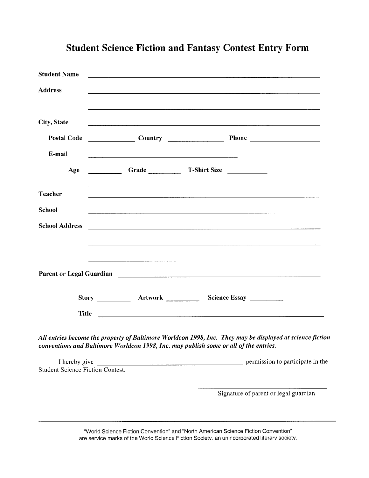| <b>Student Name</b>   | <u> 1989 - Johann Stoff, amerikansk politiker (* 1908)</u>                                                     |                                                                                                                       |  |
|-----------------------|----------------------------------------------------------------------------------------------------------------|-----------------------------------------------------------------------------------------------------------------------|--|
| <b>Address</b>        |                                                                                                                | the contract of the contract of the contract of the contract of the contract of the contract of the contract of       |  |
| <b>City, State</b>    |                                                                                                                | and the contract of the contract of the contract of the contract of the contract of the contract of the contract of   |  |
| <b>Postal Code</b>    |                                                                                                                | Country <u>Denominal</u> Phone <u>Denominal</u> Phone <u>Denominal</u> Phone 2014                                     |  |
| E-mail                |                                                                                                                |                                                                                                                       |  |
| Age                   | Grade T-Shirt Size                                                                                             |                                                                                                                       |  |
| <b>Teacher</b>        | a sa bandar da sa bailtean an t-aistean an t-aistean an t-aistean an t-aistean an t-aistean an t-aistean an t- |                                                                                                                       |  |
| <b>School</b>         |                                                                                                                | <u> 1989 - Jan Samuel Barbara, martin a shekara ta 1989 - An tsa a shekara ta 1989 - An tsa a shekara ta 1989 - A</u> |  |
| <b>School Address</b> |                                                                                                                |                                                                                                                       |  |
|                       |                                                                                                                | ,我们就会在这里的时候,我们就会在这里,我们就会在这里,我们就会在这里,我们就会在这里,我们就会在这里,我们就会在这里,我们就会在这里,我们就会在这里,我们就会                                      |  |
|                       |                                                                                                                |                                                                                                                       |  |
|                       |                                                                                                                |                                                                                                                       |  |
| <b>Title</b>          |                                                                                                                |                                                                                                                       |  |

### **Student Science Fiction and Fantasy Contest Entry Form**

All entries become the property of Baltimore Worldcon 1998, Inc. They may be displayed at science fiction conventions and Baltimore Worldcon 1998, Inc. may publish some or all of the entries.

I hereby give permission to participate in the **Student Science Fiction Contest.** 

Signature of parent or legal guardian

"World Science Fiction Convention" and "North American Science Fiction Convention" are service marks of the World Science Fiction Society, an unincorporated literary society.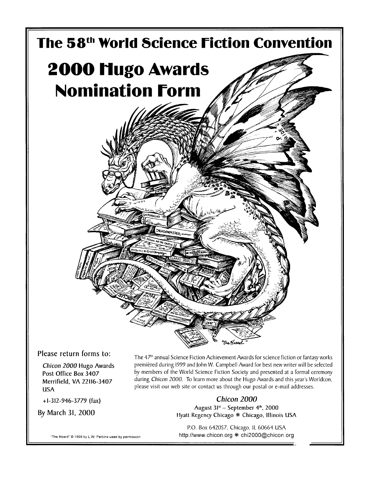

Please return forms to:

Chicon 2000 Hugo Awards Post Office Box 3407 Merrifield, VA 22116-3407 **USA** 

 $+1-312-946-3779$  (fax)

By March 31, 2000

The 47<sup>th</sup> annual Science Fiction Achievement Awards for science fiction or fantasy works premièred during 1999 and John W. Campbell Award for best new writer will be selected by members of the World Science Fiction Society and presented at a formal ceremony during Chicon 2000. To learn more about the Hugo Awards and this year's Worldcon, please visit our web site or contact us through our postal or e-mail addresses.

> Chicon 2000 August 31st - September 4th, 2000 Hyatt Regency Chicago \* Chicago, Illinois USA

P.O. Box 642057, Chicago, IL 60664 USA http://www.chicon.org \* chi2000@chicon.org

"The Hoard" @ 1999 by L.W. Perkins used by permission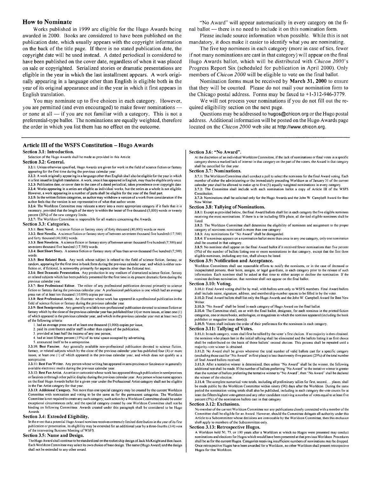#### **How to Nominate**

Works published in 1999 are eligible for the Hugo Awards being awarded in 2000. Books are considered to have been published on the publication date, which usually appears with the copyright information on the back of the title page. If there is no stated publication date, the copyright date will be used instead. A dated periodical is considered to have been published on the cover date, regardless of when it was placed on sale or copyrighted. Serialized stories or dramatic presentations are eligible in the year in which the last installment appears. A work originally appearing in a language other than English is eligible both in the year of its original appearance and in the year in which it first appears in English translation.

You may nominate up to five choices in each category. However, you are permitted (and even encouraged) to make fewer nominations or none at all  $-$  if you are not familiar with a category. This is not a preferential-type ballot. The nominations are equally weighted, therefore the order in which you list them has no effect on the outcome.

#### Article III of the WSFS Constitution - Hugo Awards

#### Section 3.1: Introduction.

Selection of the Hugo Awards shall be made as provided in this Article

#### Section 3.2: General.

3.2.1: Unless otherwise specified, Hugo Awards are given for work in the field of science fiction or fantasy appearing for the first time during the previous calendar year

- 3.2.2: A work originally appearing in a language other than English shall also be eligible for the year in which it is first issued in English translation. A work, once it has appeared in English, may thus be eligible only once.
- 3.2.3: Publication date, or cover date in the case of a dated periodical, takes precedence over copyright date.
- 3.2.4: Works appearing in a series are eligible as individual works, but the series as a whole is not eligible. However, a work appearing in a number of parts shall be eligible for the year of the final part.
- 3.2.5: In the written fiction categories, an author may withdraw a version of a work from consideration if the author feels that the version is not representative of what that author wrote.

3.2.6: The Worldcon Committee may relocate a story into a more appropriate category if it feels that it is necessary, provided that the length of the story is within the lesser of five thousand (5,000) words or twenty percent (20%) of the new category limits.

3.2.7: The Worldcon Committee is responsible for all matters concerning the Awards

#### Section 3.3: Categories.

3.3.1: Best Novel. A science fiction or fantasy story of forty thousand (40,000) words or more

3.3.2: Best Novella. A science fiction or fantasy story of between seventeen thousand five hundred (17,500) and forty thousand (40,000) words.

3.3.3: Best Novelette. A science fiction or fantasy story of between seven thousand five hundred (7,500) and seventeen thousand five hundred (17,500) words

3,3.4; Best Short Story. A science fiction or fantasy story of less than seven thousand five hundred (7.500) words

3.3.5: Best Related Book. Any work whose subject is related to the field of science fiction, fantasy, or random, appearing for the first time in book form during the previous calendar year, and which is either nonfiction or, if fictional, is noteworthy primarily for aspects other than the fictional text.

3.3.6: Best Dramatic Presentation. Any production in any medium of dramatized science fiction, fantasy or related subjects which has been publicly presented for the first time in its present dramatic form during the previous calendar vear

3.3.7: Best Professional Editor. The editor of any professional publication devoted primarily to science fiction or fantasy during the previous calendar year. A professional publication is one which had an average press run of at least ten thousand (10,000) copies per issue.

3.3.8: Best Professional Artist. An illustrator whose work has appeared in a professional publication in the field of science fiction or fantasy during the previous calendar year.

3.3.9: Best Semiprozine. Any generally available non-professional publication devoted to science fiction or fantasy which by the close of the previous calendar year has published four (4) or more issues, at least one (1) of which appeared in the previous calendar year, and which in the previous calendar year met at least two (2) of the following criteria

1. had an average press run of at least one thousand (1,000) copies per issue,

- 2. paid its contributors and/or staff in other than copies of the publication,
- 3. provided at least half the income of any one person,
- 4. had at least fifteen percent (15%) of its total space occupied by advertising.
- 5. announced itself to be a semiprozine.

3.3.10: Best Fanzine. Any generally available non-professional publication devoted to science fiction, fantasy, or related subjects which by the close of the previous calendar year has published four (4) or more issues, at least one (1) of which appeared in the previous calendar year, and which does not qualify as a semiprozine

3.3.11: Best Fan Writer. Any person whose writing has appeared in semiprozines or fanzines or in generally available electronic media during the previous calendar year.

3.3.12: Best Fan Artist. An artist or cartoonist whose work has appeared through publication in semiprozines or fanzines or through other public display during the previous calendar year. Any person whose name appears on the final Hugo Awards ballot for a given year under the Professional Artist category shall not be eligible in the Fan Artist category for that year

3.3.13: Additional Category. Not more than one special category may be created by the current Worldcon Committee with nomination and voting to be the same as for the permanent categories. The Worldcon Committee is not required to create any such category; such action by a Worldcon Committee should be under exceptional circumstances only, and the special category created by one Worldcon Committee shall not be binding on following Committees. Awards created under this paragraph shall be considered to be Hugo Awards

#### Section 3.4: Extended Eligibility.

In the event that a potential Hugo Award nominee receives extremely limited distribution in the year of its first publication or presentation, its eligibility may be extended for an additional year by a three-fourths (3/4) vote of the intervening Business Meeting of WSFS

#### Section 3.5: Name and Design.

The Hugo Award shall continue to be standardized on the rocket ship design of Jack McK night and Ben Jason Each Worldcon Committee may select its own choice of base design. The name (Hugo Award) and the design shall not be extended to any other award

"No Award" will appear automatically in every category on the final ballot - there is no need to include it on this nomination form.

Please include source information when possible. While this is not mandatory, it does make it easier to identify what you are nominating.

The five top nominees in each category (more in case of ties, fewer if not many nominations are cast in that category) will appear on the final Hugo Awards ballot, which will be distributed with Chicon 2000's Progress Report Six (scheduled for publication in April 2000). Only members of *Chicon 2000* will be eligible to vote on the final ballot.

Nomination forms must be received by March 31, 2000 to ensure that they will be counted. Please do not mail your nomination form to the Chicago postal address. Forms may be faxed to  $+1-312-946-3779$ .

We will not process your nominations if you do not fill out the required eligibility section on the next page.

Questions may be addressed to hugos@chicon.org or the Hugo postal address. Additional information will be posted on the Hugo Awards page located on the Chicon 2000 web site at http://www.chicon.org.

#### Section 3.6: "No Award".

At the discretion of an individual Worldcon Committee, if the lack of nominations or final votes in a specific category shows a marked lack of interest in that category on the part of the voters, the Award in that category shall be cancelled for that year

#### **Section 3.7: Nominations.**

3.7.1: The Worldcon Committee shall conduct a poll to select the nominees for the final Award voting. Each member of either the administering or the immediately preceding Worldcon as of January 31 of the current calendar year shall be allowed to make up to five (5) equally weighted nominations in every category 3.7.2: The Committee shall include with each nomination ballot a copy of Article III of the WSFS Constitution.

3.7.3: Nominations shall be solicited only for the Hugo Awards and the John W. Campbell Award for Best New Writer

#### **Section 3.8: Tallying of Nominations.**

3.8.1: Except as provided below, the final Award ballots shall list in each category the five eligible nominees receiving the most nominations. If there is a tie including fifth place, all the tied eligible nominees shall be listed

3.8.2: The Worldcon Committee shall determine the eligibility of nominees and assignment to the proper category of nominees nominated in more than one category

3.8.3: Any nominations for "No Award" shall be disregarded.

3.8.4: If a nominee appears on a nomination ballot more than once in any one category, only one nomination shall be counted in that category.

3.8.5: No nominee shall appear on the final Award ballot if it received fewer nominations than five percent (5%) of the number of ballots listing one or more nominations in that category, except that the first three eligible nominees, including any ties, shall always be listed.

#### Section 3.9: Notification and Acceptance.

Worldcon Committees shall use reasonable efforts to notify the nominees, or in the case of deceased or incapacitated persons, their heirs, assigns, or legal guardians, in each category prior to the release of such information. Each nominee shall be asked at that time to either accept or decline the nomination. If the nominee declines nomination, that nominee shall not appear on the final ballot.

#### Section 3.10: Voting.

3.10.1: Final Award voting shall be by mail, with ballots sent only to WSFS members. Final Award ballots shall include name, signature, address, and membership-number spaces to be filled in by the voter 3.10.2: Final Award ballots shall list only the Hugo Awards and the John W. Campbell Award for Best New Writer

3.10.3: "No Award" shall be listed in each category of Hugo Award on the final ballot.

3.10.4: The Committee shall, on or with the final ballot, designate, for each nominee in the printed fiction categories, one or more books, anthologies, or magazines in which the nominee appeared (including the book publisher or magazine issue date(s)).

3.10.5: Voters shall indicate the order of their preference for the nominees in each category

#### Section 3.11: Tallying of Votes.

3.11.1; In each category, votes shall first be tallied by the voter's first choices. If no majority is then obtained, the nominee who places last in the initial tallying shall be eliminated and the ballots listing it as first choice shall be redistributed on the basis of those ballots' second choices. This process shall be repeated until a majority-vote winner is obtained.

3.11.2: No Award shall be given whenever the total number of valid ballots cast for a specific category (excluding those cast for "No Award" in first place) is less than twenty-five percent (25%) of the total number of final Award ballots received.

3.11.3: After a tentative winner is determined then unless "No Award" shall be the winner the following additional test shall be made. If the number of ballots preferring "No Award" to the tentative winner is greater than the number of ballots preferring the tentative winner to "No Award", then "No Award" shall be declared the winner of the election.

3.11.4: The complete numerical vote totals, including all preliminary tallies for first, second, ... places, shall be made public by the Worldcon Committee within ninety (90) days after the Worldcon. During the same period the nomination voting totals shall also be published, including in each category the vote counts for at least the fifteen highest vote-getters and any other candidate receiving a number of votes equal to at least five percent (5%) of the nomination ballots cast in that category

#### Section 3.12: Exclusions.

No member of the current Worldcon Committee nor any publications closely connected with a member of the Committee shall be eligible for an Award. However, should the Committee delegate all authority under this Article to a Subcommittee whose decisions are irrevocable by the Worldcon Committee, then this exclusion shall apply to members of the Subcommittee only.

#### Section 3.13: Retrospective Hugos.

A Worldcon held 50, 75, or 100 years after a Worldcon at which no Hugos were presented may conduct nominations and elections for Hugos which would have been presented at that previous Worldcon. Procedures shall be as for the current Hugos. Categories receiving insufficient numbers of nominations may be dropped. Once retrospective Hugos have been awarded for a Worldcon, no other Worldcon shall present retrospective Hugos for that Worldcon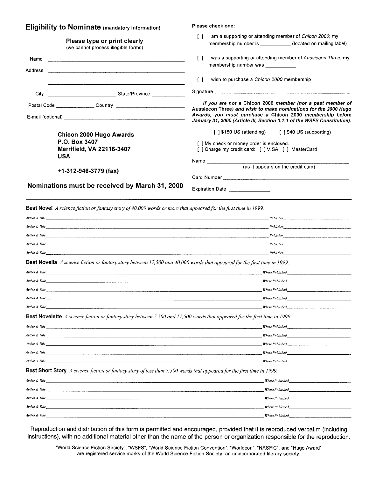| <b>Eligibility to Nominate (mandatory information)</b>                                                                               | Please check one:                                                                                                                                                                                                                                                                                                                                                                                                                                                           |
|--------------------------------------------------------------------------------------------------------------------------------------|-----------------------------------------------------------------------------------------------------------------------------------------------------------------------------------------------------------------------------------------------------------------------------------------------------------------------------------------------------------------------------------------------------------------------------------------------------------------------------|
| Please type or print clearly<br>(we cannot process illegible forms)                                                                  | [ ] I am a supporting or attending member of Chicon 2000; my<br>membership number is ______________ (located on mailing label)                                                                                                                                                                                                                                                                                                                                              |
| Name<br>Address<br>and the second control of the second company of the second control of the second control of the second control of | I was a supporting or attending member of Aussiecon Three; my<br>$\Box$<br>membership number was ___________                                                                                                                                                                                                                                                                                                                                                                |
|                                                                                                                                      | [] I wish to purchase a Chicon 2000 membership                                                                                                                                                                                                                                                                                                                                                                                                                              |
|                                                                                                                                      |                                                                                                                                                                                                                                                                                                                                                                                                                                                                             |
|                                                                                                                                      | If you are not a Chicon 2000 member (nor a past member of<br>Aussiecon Three) and wish to make nominations for the 2000 Hugo<br>Awards, you must purchase a Chicon 2000 membership before<br>January 31, 2000 (Article III, Section 3.7.1 of the WSFS Constitution).                                                                                                                                                                                                        |
| <b>Chicon 2000 Hugo Awards</b><br>P.O. Box 3407<br><b>Merrifield, VA 22116-3407</b><br><b>USA</b>                                    | [ ] \$150 US (attending) [ ] \$40 US (supporting)<br>[ ] My check or money order is enclosed.<br>[ ] Charge my credit card: [ ] VISA [ ] MasterCard                                                                                                                                                                                                                                                                                                                         |
|                                                                                                                                      | Name $\frac{1}{\sqrt{1-\frac{1}{2}}\cdot\sqrt{1-\frac{1}{2}}\cdot\sqrt{1-\frac{1}{2}}\cdot\sqrt{1-\frac{1}{2}}\cdot\sqrt{1-\frac{1}{2}}\cdot\sqrt{1-\frac{1}{2}}\cdot\sqrt{1-\frac{1}{2}}\cdot\sqrt{1-\frac{1}{2}}\cdot\sqrt{1-\frac{1}{2}}\cdot\sqrt{1-\frac{1}{2}}\cdot\sqrt{1-\frac{1}{2}}\cdot\sqrt{1-\frac{1}{2}}\cdot\sqrt{1-\frac{1}{2}}\cdot\sqrt{1-\frac{1}{2}}\cdot\sqrt{1-\frac{1}{2}}\cdot\sqrt{1-\frac{1}{2}}\cdot\sqrt$<br>(as it appears on the credit card) |
| $+1-312-946-3779$ (fax)                                                                                                              |                                                                                                                                                                                                                                                                                                                                                                                                                                                                             |
| Nominations must be received by March 31, 2000                                                                                       | Expiration Date                                                                                                                                                                                                                                                                                                                                                                                                                                                             |
| <b>Best Novel</b> A science fiction or fantasy story of 40,000 words or more that appeared for the first time in 1999.               |                                                                                                                                                                                                                                                                                                                                                                                                                                                                             |
|                                                                                                                                      | Author & Title <b>Contract Contract Contract Contract Contract Contract Contract Contract Contract Contract Contract Contract Contract Contract Contract Contract Contract Contract Contract Contract Contract Contract Contract</b>                                                                                                                                                                                                                                        |
|                                                                                                                                      |                                                                                                                                                                                                                                                                                                                                                                                                                                                                             |
|                                                                                                                                      |                                                                                                                                                                                                                                                                                                                                                                                                                                                                             |
|                                                                                                                                      |                                                                                                                                                                                                                                                                                                                                                                                                                                                                             |
|                                                                                                                                      | Author & Title Publisher Publisher Publisher Publisher Publisher Publisher Publisher Publisher Publisher Publisher Publisher Publisher Publisher Publisher Publisher Publisher Publisher Publisher Publisher Publisher Publish                                                                                                                                                                                                                                              |
| Best Novella A science fiction or fantasy story between 17,500 and 40,000 words that appeared for the first time in 1999.            |                                                                                                                                                                                                                                                                                                                                                                                                                                                                             |
|                                                                                                                                      |                                                                                                                                                                                                                                                                                                                                                                                                                                                                             |
|                                                                                                                                      |                                                                                                                                                                                                                                                                                                                                                                                                                                                                             |
|                                                                                                                                      | Where Published North States and States and States and States and States and States and States and States and States and States and States and States and States and States and States and States and States and States and St                                                                                                                                                                                                                                              |
| Author & Title                                                                                                                       |                                                                                                                                                                                                                                                                                                                                                                                                                                                                             |

| <b>Best Novelette</b> A science fiction or fantasy story between 7,500 and 17,500 words that appeared for the first time in 1999. |  |
|-----------------------------------------------------------------------------------------------------------------------------------|--|
|-----------------------------------------------------------------------------------------------------------------------------------|--|

Author & Title

| Author & Title | Where Published        |
|----------------|------------------------|
| Author & Title | <b>Where Published</b> |
| Author & Title | Where Published        |
| Author & Title | Where Published        |
| Author & Title | Where Published        |
|                |                        |

 $\qquad \qquad \textit{Where Published}\qquad \qquad \textit{________}$ 

Best Short Story A science fiction or fantasy story of less than 7,500 words that appeared for the first time in 1999.

| Author & Title | Where Published        |
|----------------|------------------------|
| Author & Title | Where Published        |
| Author & Title | Where Published        |
| Author & Title | Where Published        |
| Author & Title | <b>Where Published</b> |
|                |                        |

Reproduction and distribution of this form is permitted and encouraged, provided that it is reproduced verbatim (including instructions), with no additional material other than the name of the person or organization responsible for the reproduction.

"World Science Fiction Society", "WSFS", "World Science Fiction Convention", "Worldcon", "NASFiC", and "Hugo Award" are registered service marks of the World Science Fiction Society, an unincorporated literary society.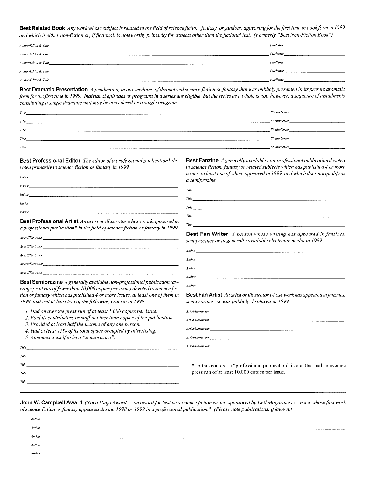Best Related Book Any work whose subject is related to the field of science fiction, fantasy, or fandom, appearing for the first time in book form in 1999 and which is either non-fiction or, if fictional, is noteworthy primarily for aspects other than the fictional text. (Formerly "Best Non-Fiction Book")

| Author/Editor & Title                                                                                                                    | Publisher |
|------------------------------------------------------------------------------------------------------------------------------------------|-----------|
| Author/Editor & Title<br>A dealer with the company of the company                                                                        | Publisher |
| Author/Editor & Title                                                                                                                    | Publisher |
| Author/Editor & Title                                                                                                                    | Publisher |
| Author/Editor & Title<br>The contract of the contract of the contract of the contract of the contract of the contract of the contract of | Publisher |

Best Dramatic Presentation A production, in any medium, of dramatized science fiction or fantasy that was publicly presented in its present dramatic form for the first time in 1999. Individual episodes or programs in a series are eligible, but the series as a whole is not; however, a sequence of installments constituting a single dramatic unit may be considered as a single program.

| Title | <b>Studio/Series</b>      |
|-------|---------------------------|
| Title | <b>Studio/Series</b>      |
| Title | <b>Studio/Series</b><br>. |
| Title | <b>Studio/Series</b>      |
| Title | <b>Studio/Series</b>      |

Author

**Best Professional Editor** The editor of a professional publication\* devoted primarily to science fiction or fantasy in 1999.

| Editor                                           | issues, at leas<br>a semiprozine   |
|--------------------------------------------------|------------------------------------|
| Editor<br>the control of the control of the con- | <i>Title</i> <b><i>Company</i></b> |
| Editor                                           |                                    |
| Editor                                           | Title                              |
|                                                  | Title                              |
| Editor                                           |                                    |

Best Professional Artist An artist or illustrator whose work appeared in a professional publication\* in the field of science fiction or fantasy in 1999.

| Artist/Illustrator |
|--------------------|
| Artist/Illustrator |
| Artist/Illustrator |
| Artist/Illustrator |
| Artist/Illustrator |

Best Semiprozine A generally available non-professional publication (average print run of fewer than 10,000 copies per issue) devoted to science fiction or fantasy which has published 4 or more issues, at least one of them in 1999, and met at least two of the following criteria in 1999:

1. Had an average press run of at least 1,000 copies per issue.

2. Paid its contributors or staff in other than copies of the publication.

<u> 1980 - Johann Barnett, fransk politiker (d. 1980)</u>

3. Provided at least half the income of any one person.

4. Had at least 15% of its total space occupied by advertising.

Title **Figure 2018** 

5. Announced itself to be a "semiprozine".

Title

Title

Title

 $Title_{-}$ 

Best Fanzine A generally available non-professional publication devoted to science fiction, fantasy or related subjects which has published 4 or more t one of which appeared in 1999, and which does not qualify as

| Title |  |  |  |
|-------|--|--|--|
| Title |  |  |  |
| Title |  |  |  |
| Title |  |  |  |
| Title |  |  |  |

Best Fan Writer A person whose writing has appeared in fanzines, semiprozines or in generally available electronic media in 1999.

 $Author$ **Author**  $A$ uthor $\_\_$ **Author** 

Best Fan Artist An artist or illustrator whose work has appeared in fanzines, semiprozines, or was publicly displayed in 1999.

| Artist/Illustrator                                                                                                                                                                                                                                                                                                                                      |                                                                                                                                                                                                                                      |  |  |
|---------------------------------------------------------------------------------------------------------------------------------------------------------------------------------------------------------------------------------------------------------------------------------------------------------------------------------------------------------|--------------------------------------------------------------------------------------------------------------------------------------------------------------------------------------------------------------------------------------|--|--|
| $Arlist/Illustrator$ $_{---}$ $_{---}$ $_{---}$ $_{---}$ $_{---}$ $_{---}$ $_{---}$ $_{---}$ $_{---}$ $_{---}$ $_{---}$ $_{---}$ $_{---}$ $_{---}$ $_{---}$ $_{---}$ $_{---}$ $_{---}$ $_{---}$ $_{---}$ $_{---}$ $_{---}$ $_{---}$ $_{---}$ $_{---}$ $_{---}$ $_{---}$ $_{---}$ $_{---}$ $_{---}$ $_{---}$ $_{---}$ $_{---}$ $_{---}$ $_{---}$ $_{---$ |                                                                                                                                                                                                                                      |  |  |
| Artist/Illustrator                                                                                                                                                                                                                                                                                                                                      | <u> 1986 - Jan Stein Harry Harry Harry Harry Harry Harry Harry Harry Harry Harry Harry Harry Harry Harry Harry Harry Harry Harry Harry Harry Harry Harry Harry Harry Harry Harry Harry Harry Harry Harry Harry Harry Harry Harry</u> |  |  |
| Artist/Illustrator                                                                                                                                                                                                                                                                                                                                      |                                                                                                                                                                                                                                      |  |  |
| Artist/Hlustrator                                                                                                                                                                                                                                                                                                                                       |                                                                                                                                                                                                                                      |  |  |

\* In this context, a "professional publication" is one that had an average press run of at least 10,000 copies per issue.

John W. Campbell Award (Not a Hugo Award — an award for best new science fiction writer, sponsored by Dell Magazines) A writer whose first work of science fiction or fantasy appeared during 1998 or 1999 in a professional publication.\* (Please note publications, if known.)

| Author  |                                    |
|---------|------------------------------------|
| Author  |                                    |
| Author  |                                    |
| Author  | __________________________________ |
| Authors |                                    |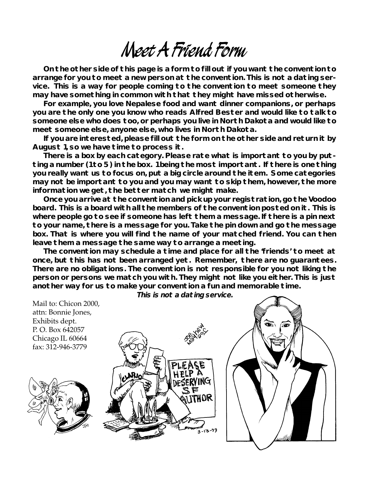# **Meet A Friend Form**

**On the other side of this page is a form to fill out if you want the convention to arrange for you to meet a new person at the convention. This is not a dating service. This is a way for people coming to the convention to meet someone they may have something in common with that they might have missed otherwise.**

**For example, you love Nepalese food and want dinner companions, or perhaps you are the only one you know who reads Alfred Bester and would like to talk to someone else who does too, or perhaps you live in North Dakota and would like to meet someone else, anyone else, who lives in North Dakota.**

**If you are interested, please fill out the form on the other side and return it by August 1, so we have time to process it.**

**There is a box by each category. Please rate what is important to you by putting a number (1 to 5) in the box. 1 being the most important. If there is one thing you really want us to focus on, put a big circle around the item. Some categories may not be important to you and you may want to skip them, however, the more information we get, the better match we might make.**

**Once you arrive at the convention and pick up your registration, go the Voodoo board. This is a board with all the members of the convention posted on it. This is where people go to see if someone has left them a message. If there is a pin next to your name, there is a message for you. Take the pin down and go the message box. That is where you will find the name of your matched friend. You can then leave them a message the same way to arrange a meeting.**

**The convention may schedule a time and place for all the 'friends' to meet at once, but this has not been arranged yet. Remember, there are no guarantees. There are no obligations. The convention is not responsible for you not liking the person or persons we match you with. They might not like you either. This is just another way for us to make your convention a fun and memorable time.**

Mail to: Chicon 2000, attn: Bonnie Jones, Exhibits dept. P. O. Box 642057 Chicago IL 60664 fax: 312-946-3779ITHOR 3-13-99

**This is not a dating service.**

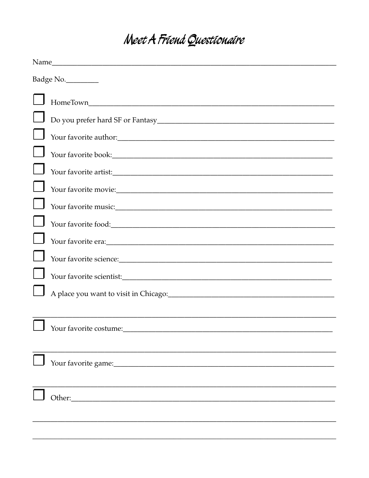## Meet A Friend Questionaire

|  | Badge No.              |  |  |  |  |
|--|------------------------|--|--|--|--|
|  |                        |  |  |  |  |
|  |                        |  |  |  |  |
|  |                        |  |  |  |  |
|  |                        |  |  |  |  |
|  |                        |  |  |  |  |
|  |                        |  |  |  |  |
|  |                        |  |  |  |  |
|  |                        |  |  |  |  |
|  | Your favorite era:     |  |  |  |  |
|  |                        |  |  |  |  |
|  |                        |  |  |  |  |
|  |                        |  |  |  |  |
|  |                        |  |  |  |  |
|  | Your favorite costume: |  |  |  |  |
|  |                        |  |  |  |  |
|  |                        |  |  |  |  |
|  |                        |  |  |  |  |
|  | Other:                 |  |  |  |  |
|  |                        |  |  |  |  |
|  |                        |  |  |  |  |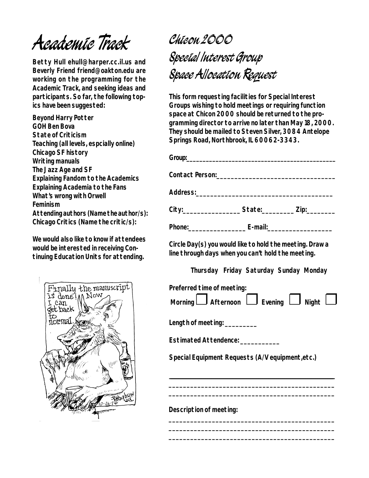# **Academic Track**

**Betty Hull ehull@harper.cc.il.us and Beverly Friend friend@oakton.edu are working on the programming for the Academic Track, and seeking ideas and participants. So far, the following topics have been suggested:**

**Beyond Harry Potter GOH Ben Bova State of Criticism Teaching (all levels, espcially online) Chicago SF history Writing manuals The Jazz Age and SF Explaining Fandom to the Academics Explaining Academia to the Fans What's wrong with Orwell Feminism Attending authors (Name the author/s): Chicago Critics (Name the critic/s):**

**We would also like to know if attendees would be interested in receiving Continuing Education Units for attending.**



# **Chicon 2000 Special Interest Group Space Allocation Request**

**This form requesting facilities for Special Interest Groups wishing to hold meetings or requiring function space at Chicon 2000 should be returned to the programming director to arrive no later than May 18, 2000. They should be mailed to Steven Silver, 3084 Antelope Springs Road, Northbrook, IL 60062-3343.**

| City:______________________State:____________Zip:____________                                                  |                                        |  |  |  |  |  |  |
|----------------------------------------------------------------------------------------------------------------|----------------------------------------|--|--|--|--|--|--|
|                                                                                                                |                                        |  |  |  |  |  |  |
| Circle Day(s) you would like to hold the meeting. Draw a<br>line through days when you can't hold the meeting. |                                        |  |  |  |  |  |  |
|                                                                                                                | Thursday Friday Saturday Sunday Monday |  |  |  |  |  |  |
| Preferred time of meeting:<br>Morning $\Box$ Afternoon $\Box$ Evening $\Box$ Night $\Box$                      |                                        |  |  |  |  |  |  |
| Length of meeting: __________                                                                                  |                                        |  |  |  |  |  |  |
| Estimated Attendence: ____________                                                                             |                                        |  |  |  |  |  |  |
| Special Equipment Requests (A/V equipment, etc.)                                                               |                                        |  |  |  |  |  |  |
|                                                                                                                |                                        |  |  |  |  |  |  |
|                                                                                                                |                                        |  |  |  |  |  |  |
| Description of meeting:                                                                                        |                                        |  |  |  |  |  |  |

**\_\_\_\_\_\_\_\_\_\_\_\_\_\_\_\_\_\_\_\_\_\_\_\_\_\_\_\_\_\_\_\_\_\_\_\_\_\_\_\_\_\_\_\_\_\_ \_\_\_\_\_\_\_\_\_\_\_\_\_\_\_\_\_\_\_\_\_\_\_\_\_\_\_\_\_\_\_\_\_\_\_\_\_\_\_\_\_\_\_\_\_\_ \_\_\_\_\_\_\_\_\_\_\_\_\_\_\_\_\_\_\_\_\_\_\_\_\_\_\_\_\_\_\_\_\_\_\_\_\_\_\_\_\_\_\_\_\_\_**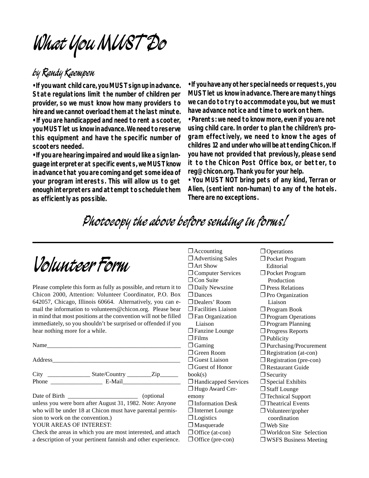**What You MUST Do**

### **by Randy Kaempen**

**• If you want child care, you MUST sign up in advance. State regulations limit the number of children per provider, so we must know how many providers to hire and we cannot overload them at the last minute.**

**• If you are handicapped and need to rent a scooter, you MUST let us know in advance. We need to reserve this equipment and have the specific number of scooters needed.**

**• If you are hearing impaired and would like a sign language interpreter at specific events, we MUST know in advance that you are coming and get some idea of your program interests. This will allow us to get enough interpreters and attempt to schedule them as efficiently as possible.**

**• If you have any other special needs or requests, you MUST let us know in advance. There are many things we can do to try to accommodate you, but we must have advance notice and time to work on them.**

**• Parents: we need to know more, even if you are not using child care. In order to plan the children's program effectively, we need to know the ages of childres 12 and under who will be attending Chicon. If you have not provided that previously, please send it to the Chicon Post Office box, or better, to reg@chicon.org. Thank you for your help.**

**• You MUST NOT bring pets of any kind, Terran or Alien, (sentient non-human) to any of the hotels. There are no exceptions.**

## **Photocopy the above before sending in forms!**

# **Volunteer Form**

Please complete this form as fully as possible, and return it to Chicon 2000, Attention: Volunteer Coordinator, P.O. Box 642057, Chicago, Illinois 60664. Alternatively, you can email the information to volunteers@chicon.org. Please bear in mind that most positions at the convention will not be filled immediately, so you shouldn't be surprised or offended if you hear nothing more for a while.

| Name  |                                     |  |
|-------|-------------------------------------|--|
|       |                                     |  |
| Phone | State/Country ___________Zip_______ |  |
|       |                                     |  |

Date of Birth (optional) unless you were born after August 31, 1982. Note: Anyone who will be under 18 at Chicon must have parental permission to work on the convention.)

#### YOUR AREAS OF INTEREST:

Check the areas in which you are most interested, and attach a description of your pertinent fannish and other experience.

- ❐ Accounting ❐ Advertising Sales ❐ Art Show ❐ Computer Services □ Con Suite □ Daily Newszine □ Dances ❐ Dealers' Room ❐ Facilities Liaison ❐ Fan Organization Liaison **□ Fanzine Lounge** ❐ Films ❐ Gaming ❐ Green Room ❐ Guest Liaison ❐ Guest of Honor book(s) ❐ Handicapped Services ❐ Hugo Award Ceremony ❐ Information Desk ❐ Internet Lounge ❐ Logistics ❐ Masquerade ❐ Office (at-con) ❐ Office (pre-con)
- □ Operations ❐ Pocket Program Editorial ❐ Pocket Program Production ❐ Press Relations □ Pro Organization Liaison ❐ Program Book ❐ Program Operations □ Program Planning ❐ Progress Reports ❐ Publicity ❐ Purchasing/Procurement ❐ Registration (at-con) ❐ Registration (pre-con) ❐ Restaurant Guide □ Security ❐ Special Exhibits ❐ Staff Lounge ❐ Technical Support □ Theatrical Events ❐ Volunteer/gopher coordination ❐ Web Site ❐ Worldcon Site Selection
	- ❐ WSFS Business Meeting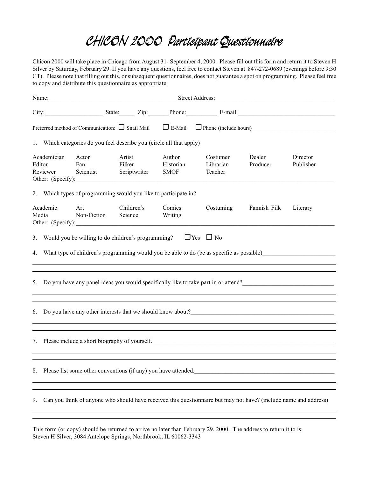## **CHICON 2000 Participant Questionnaire**

Chicon 2000 will take place in Chicago from August 31- September 4, 2000. Please fill out this form and return it to Steven H Silver by Saturday, February 29. If you have any questions, feel free to contact Steven at 847-272-0689 (evenings before 9:30 CT). Please note that filling out this, or subsequent questionnaires, does not guarantee a spot on programming. Please feel free to copy and distribute this questionnaire as appropriate.

|        |                                                                                                                                                                                                                                  |                                                                            |                  | Name: <u>Name:</u> Street Address: Name: Name: Name: Name: Name: Name: Name: Name: Name: Name: Name: Name: Name: Name: Name: Name: Name: Name: Name: Name: Name: Name: Name: Name: Name: Name: Name: Name: Name: Name: Name: Name: |                                    |                                                                                                                  |                    |                       |
|--------|----------------------------------------------------------------------------------------------------------------------------------------------------------------------------------------------------------------------------------|----------------------------------------------------------------------------|------------------|------------------------------------------------------------------------------------------------------------------------------------------------------------------------------------------------------------------------------------|------------------------------------|------------------------------------------------------------------------------------------------------------------|--------------------|-----------------------|
|        |                                                                                                                                                                                                                                  |                                                                            |                  |                                                                                                                                                                                                                                    |                                    | City: State: Zip: Phone: E-mail: E-mail:                                                                         |                    |                       |
|        |                                                                                                                                                                                                                                  |                                                                            |                  |                                                                                                                                                                                                                                    |                                    | Preferred method of Communication: $\Box$ Snail Mail $\Box$ E-Mail $\Box$ Phone (include hours)                  |                    |                       |
|        |                                                                                                                                                                                                                                  | 1. Which categories do you feel describe you (circle all that apply)       |                  |                                                                                                                                                                                                                                    |                                    |                                                                                                                  |                    |                       |
| Editor | Academician<br>Reviewer                                                                                                                                                                                                          | Actor<br>Fan<br>Scientist Scriptwriter<br>Other: (Specify):                | Artist<br>Filker |                                                                                                                                                                                                                                    | Author<br>Historian<br><b>SMOF</b> | Costumer<br>Librarian<br>Teacher                                                                                 | Dealer<br>Producer | Director<br>Publisher |
|        |                                                                                                                                                                                                                                  | 2. Which types of programming would you like to participate in?            |                  |                                                                                                                                                                                                                                    |                                    |                                                                                                                  |                    |                       |
|        | Academic<br>Media                                                                                                                                                                                                                | Art<br>Non-Fiction Science<br>Other: (Specify):                            | Children's       |                                                                                                                                                                                                                                    | Comics<br>Writing                  | Costuming                                                                                                        | Fannish Filk       | Literary              |
|        |                                                                                                                                                                                                                                  | 3. Would you be willing to do children's programming? $\Box$ Yes $\Box$ No |                  |                                                                                                                                                                                                                                    |                                    |                                                                                                                  |                    |                       |
| 4.     | What type of children's programming would you be able to do (be as specific as possible)                                                                                                                                         |                                                                            |                  |                                                                                                                                                                                                                                    |                                    |                                                                                                                  |                    |                       |
| 5.     | Do you have any panel ideas you would specifically like to take part in or attend?                                                                                                                                               |                                                                            |                  |                                                                                                                                                                                                                                    |                                    |                                                                                                                  |                    |                       |
| 6.     | Do you have any other interests that we should know about?<br>The same strategy and the same strategy of the strategy of the strategy and the strategy of the strategy of the strategy of the strategy of the strategy of the st |                                                                            |                  |                                                                                                                                                                                                                                    |                                    |                                                                                                                  |                    |                       |
| 7.     | Please include a short biography of yourself.                                                                                                                                                                                    |                                                                            |                  |                                                                                                                                                                                                                                    |                                    |                                                                                                                  |                    |                       |
| 8.     | Please list some other conventions (if any) you have attended.                                                                                                                                                                   |                                                                            |                  |                                                                                                                                                                                                                                    |                                    |                                                                                                                  |                    |                       |
| 9.     |                                                                                                                                                                                                                                  |                                                                            |                  |                                                                                                                                                                                                                                    |                                    | Can you think of anyone who should have received this questionnaire but may not have? (include name and address) |                    |                       |

This form (or copy) should be returned to arrive no later than February 29, 2000. The address to return it to is: Steven H Silver, 3084 Antelope Springs, Northbrook, IL 60062-3343